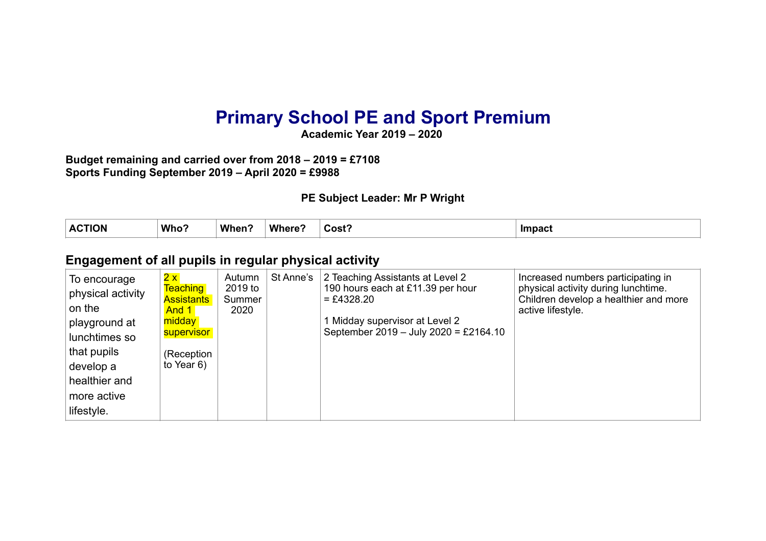# **Primary School PE and Sport Premium**

**Academic Year 2019 – 2020** 

**Budget remaining and carried over from 2018 – 2019 = £7108 Sports Funding September 2019 – April 2020 = £9988** 

#### **PE Subject Leader: Mr P Wright**

| $\Lambda$ $\Lambda$ $\Gamma$ $\Gamma$ $\Gamma$ $\Gamma$<br><b>ION</b><br>∼ | Who | When | Where | Cost? | <b>Impact</b> |
|----------------------------------------------------------------------------|-----|------|-------|-------|---------------|
|                                                                            |     |      |       |       |               |

#### **Engagement of all pupils in regular physical activity**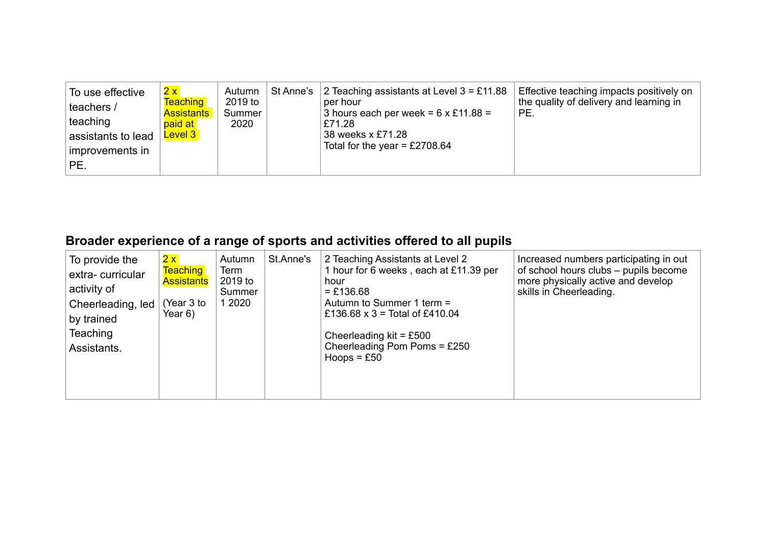| 2x<br>To use effective<br>teachers /<br>teaching<br>assistants to lead<br>improvements in<br>PE. | Autumn<br><b>Teaching</b><br>2019 to<br><b>Assistants</b><br>Summer<br>2020<br>paid at<br><b>Level 3</b> | St Anne's $\vert$ | 2 Teaching assistants at Level $3 = £11.88$<br>per hour<br>3 hours each per week = $6 \times £11.88 =$<br>£71.28<br>38 weeks x £71.28<br>Total for the year = £2708.64 | Effective teaching impacts positively on<br>the quality of delivery and learning in<br>PE. |
|--------------------------------------------------------------------------------------------------|----------------------------------------------------------------------------------------------------------|-------------------|------------------------------------------------------------------------------------------------------------------------------------------------------------------------|--------------------------------------------------------------------------------------------|
|--------------------------------------------------------------------------------------------------|----------------------------------------------------------------------------------------------------------|-------------------|------------------------------------------------------------------------------------------------------------------------------------------------------------------------|--------------------------------------------------------------------------------------------|

## **Broader experience of a range of sports and activities offered to all pupils**

| To provide the<br>extra-curricular<br>activity of | 2x<br><b>Teaching</b><br><b>Assistants</b> | Autumn<br>Term<br>2019 to<br>Summer | St.Anne's | 2 Teaching Assistants at Level 2<br>1 hour for 6 weeks, each at £11.39 per<br>hour<br>$= £136.68$ | Increased numbers participating in out<br>of school hours clubs - pupils become<br>more physically active and develop<br>skills in Cheerleading. |
|---------------------------------------------------|--------------------------------------------|-------------------------------------|-----------|---------------------------------------------------------------------------------------------------|--------------------------------------------------------------------------------------------------------------------------------------------------|
| Cheerleading, led<br>by trained                   | Year 3 to<br>Year 6)                       | 1 2020                              |           | Autumn to Summer 1 term =<br>£136.68 $x$ 3 = Total of £410.04                                     |                                                                                                                                                  |
| <b>Teaching</b><br>Assistants.                    |                                            |                                     |           | Cheerleading $kit = £500$<br>Cheerleading Pom Poms = $£250$<br>Hoops = $£50$                      |                                                                                                                                                  |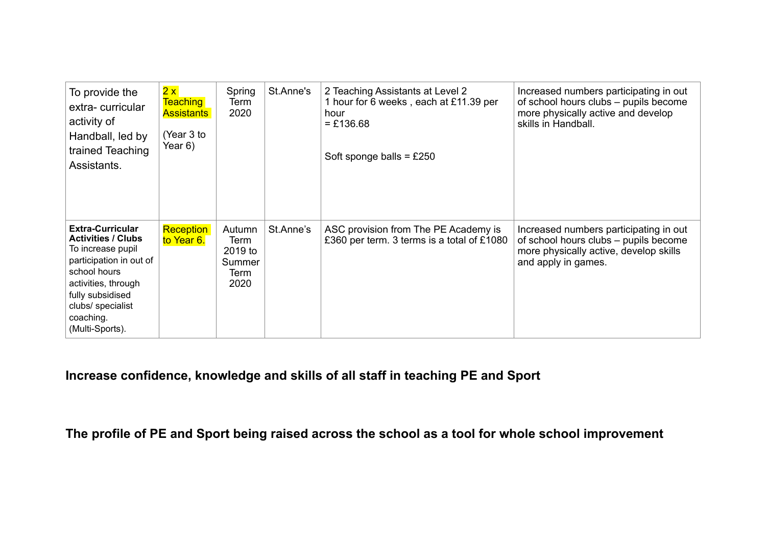| To provide the<br>extra-curricular<br>activity of<br>Handball, led by<br>trained Teaching<br>Assistants.                                                                                                             | 2x<br><b>Teaching</b><br><b>Assistants</b><br>(Year 3 to<br>Year 6) | Spring<br>Term<br>2020                              | St.Anne's | 2 Teaching Assistants at Level 2<br>1 hour for 6 weeks, each at £11.39 per<br>hour<br>$= £136.68$<br>Soft sponge balls = $£250$ | Increased numbers participating in out<br>of school hours clubs - pupils become<br>more physically active and develop<br>skills in Handball.     |
|----------------------------------------------------------------------------------------------------------------------------------------------------------------------------------------------------------------------|---------------------------------------------------------------------|-----------------------------------------------------|-----------|---------------------------------------------------------------------------------------------------------------------------------|--------------------------------------------------------------------------------------------------------------------------------------------------|
| <b>Extra-Curricular</b><br><b>Activities / Clubs</b><br>To increase pupil<br>participation in out of<br>school hours<br>activities, through<br>fully subsidised<br>clubs/ specialist<br>coaching.<br>(Multi-Sports). | <b>Reception</b><br>to Year 6.                                      | Autumn<br>Term<br>2019 to<br>Summer<br>Term<br>2020 | St.Anne's | ASC provision from The PE Academy is<br>£360 per term. 3 terms is a total of £1080                                              | Increased numbers participating in out<br>of school hours clubs – pupils become<br>more physically active, develop skills<br>and apply in games. |

## **Increase confidence, knowledge and skills of all staff in teaching PE and Sport**

**The profile of PE and Sport being raised across the school as a tool for whole school improvement**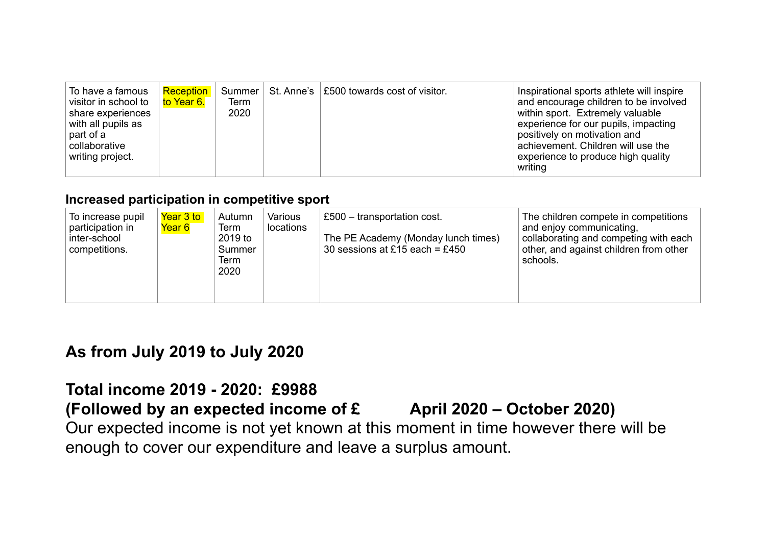| To have a famous<br>visitor in school to<br>share experiences<br>with all pupils as<br>part of a<br>collaborative<br>writing project. | Reception<br>to Year 6. | Term<br>2020 | Summer $\vert$ St. Anne's $\vert$ £500 towards cost of visitor. | Inspirational sports athlete will inspire<br>and encourage children to be involved<br>within sport. Extremely valuable<br>experience for our pupils, impacting<br>positively on motivation and<br>achievement. Children will use the<br>experience to produce high quality |
|---------------------------------------------------------------------------------------------------------------------------------------|-------------------------|--------------|-----------------------------------------------------------------|----------------------------------------------------------------------------------------------------------------------------------------------------------------------------------------------------------------------------------------------------------------------------|
|                                                                                                                                       |                         |              |                                                                 | writing                                                                                                                                                                                                                                                                    |

### **Increased participation in competitive sport**

| To increase pupil<br>participation in<br>inter-school<br>competitions. | Year 3 to<br>Year 6 | Autumn<br>Term<br>2019 to<br>Summer<br>Term<br>2020 | Various<br>locations | £500 - transportation cost.<br>The PE Academy (Monday lunch times)<br>30 sessions at £15 each = £450 | The children compete in competitions<br>and enjoy communicating,<br>collaborating and competing with each<br>other, and against children from other<br>schools. |
|------------------------------------------------------------------------|---------------------|-----------------------------------------------------|----------------------|------------------------------------------------------------------------------------------------------|-----------------------------------------------------------------------------------------------------------------------------------------------------------------|
|------------------------------------------------------------------------|---------------------|-----------------------------------------------------|----------------------|------------------------------------------------------------------------------------------------------|-----------------------------------------------------------------------------------------------------------------------------------------------------------------|

## **As from July 2019 to July 2020**

## **Total income 2019 - 2020: £9988**

## **(Followed by an expected income of £ April 2020 – October 2020)**

Our expected income is not yet known at this moment in time however there will be enough to cover our expenditure and leave a surplus amount.